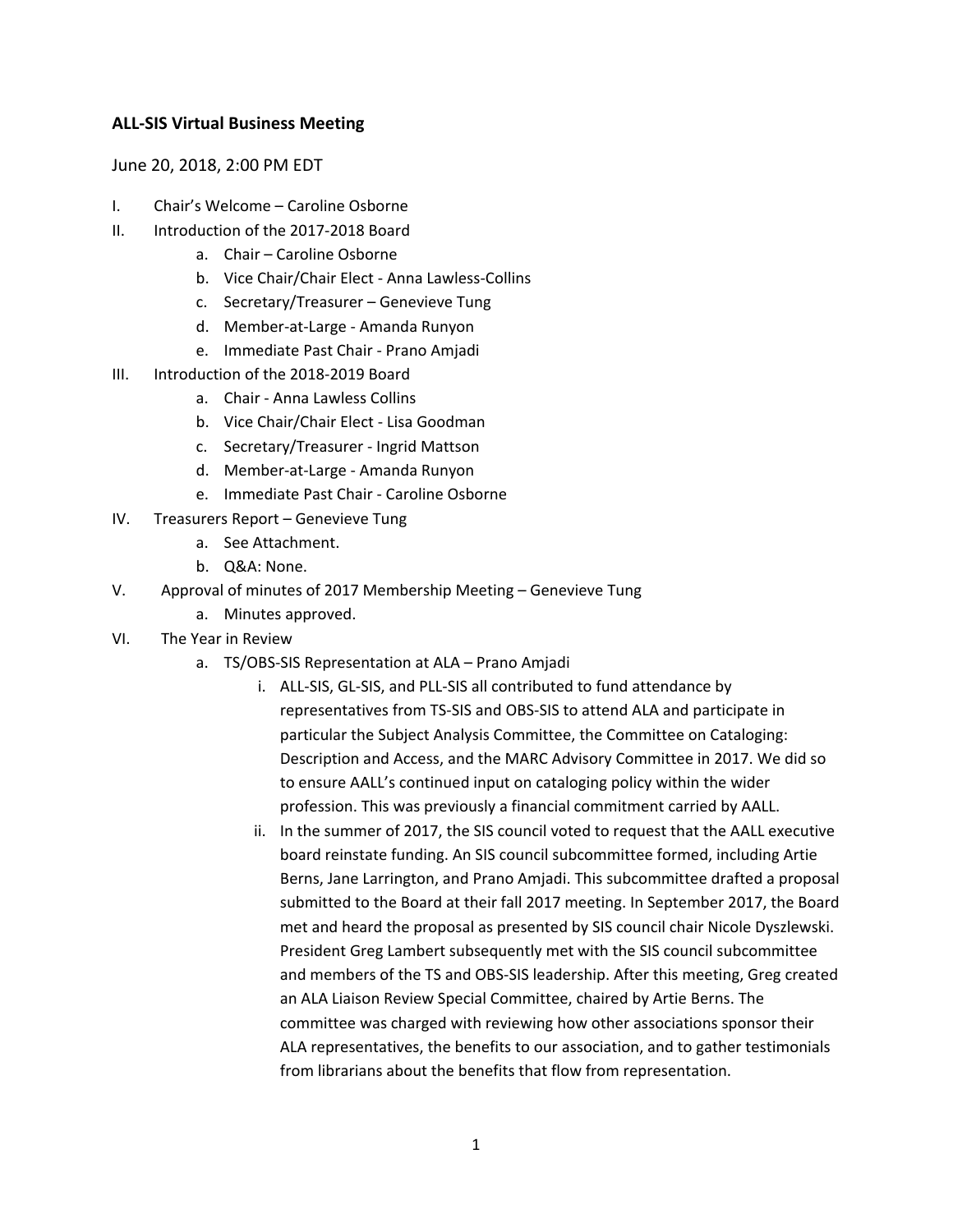## **ALL-SIS Virtual Business Meeting**

June 20, 2018, 2:00 PM EDT

- I. Chair's Welcome Caroline Osborne
- II. Introduction of the 2017-2018 Board
	- a. Chair Caroline Osborne
	- b. Vice Chair/Chair Elect Anna Lawless-Collins
	- c. Secretary/Treasurer Genevieve Tung
	- d. Member-at-Large Amanda Runyon
	- e. Immediate Past Chair Prano Amjadi
- III. Introduction of the 2018-2019 Board
	- a. Chair Anna Lawless Collins
	- b. Vice Chair/Chair Elect Lisa Goodman
	- c. Secretary/Treasurer Ingrid Mattson
	- d. Member-at-Large Amanda Runyon
	- e. Immediate Past Chair Caroline Osborne
- IV. Treasurers Report Genevieve Tung
	- a. See Attachment.
	- b. Q&A: None.
- V. Approval of minutes of 2017 Membership Meeting Genevieve Tung
	- a. Minutes approved.
- VI. The Year in Review
	- a. TS/OBS-SIS Representation at ALA Prano Amjadi
		- i. ALL-SIS, GL-SIS, and PLL-SIS all contributed to fund attendance by representatives from TS-SIS and OBS-SIS to attend ALA and participate in particular the Subject Analysis Committee, the Committee on Cataloging: Description and Access, and the MARC Advisory Committee in 2017. We did so to ensure AALL's continued input on cataloging policy within the wider profession. This was previously a financial commitment carried by AALL.
		- ii. In the summer of 2017, the SIS council voted to request that the AALL executive board reinstate funding. An SIS council subcommittee formed, including Artie Berns, Jane Larrington, and Prano Amjadi. This subcommittee drafted a proposal submitted to the Board at their fall 2017 meeting. In September 2017, the Board met and heard the proposal as presented by SIS council chair Nicole Dyszlewski. President Greg Lambert subsequently met with the SIS council subcommittee and members of the TS and OBS-SIS leadership. After this meeting, Greg created an ALA Liaison Review Special Committee, chaired by Artie Berns. The committee was charged with reviewing how other associations sponsor their ALA representatives, the benefits to our association, and to gather testimonials from librarians about the benefits that flow from representation.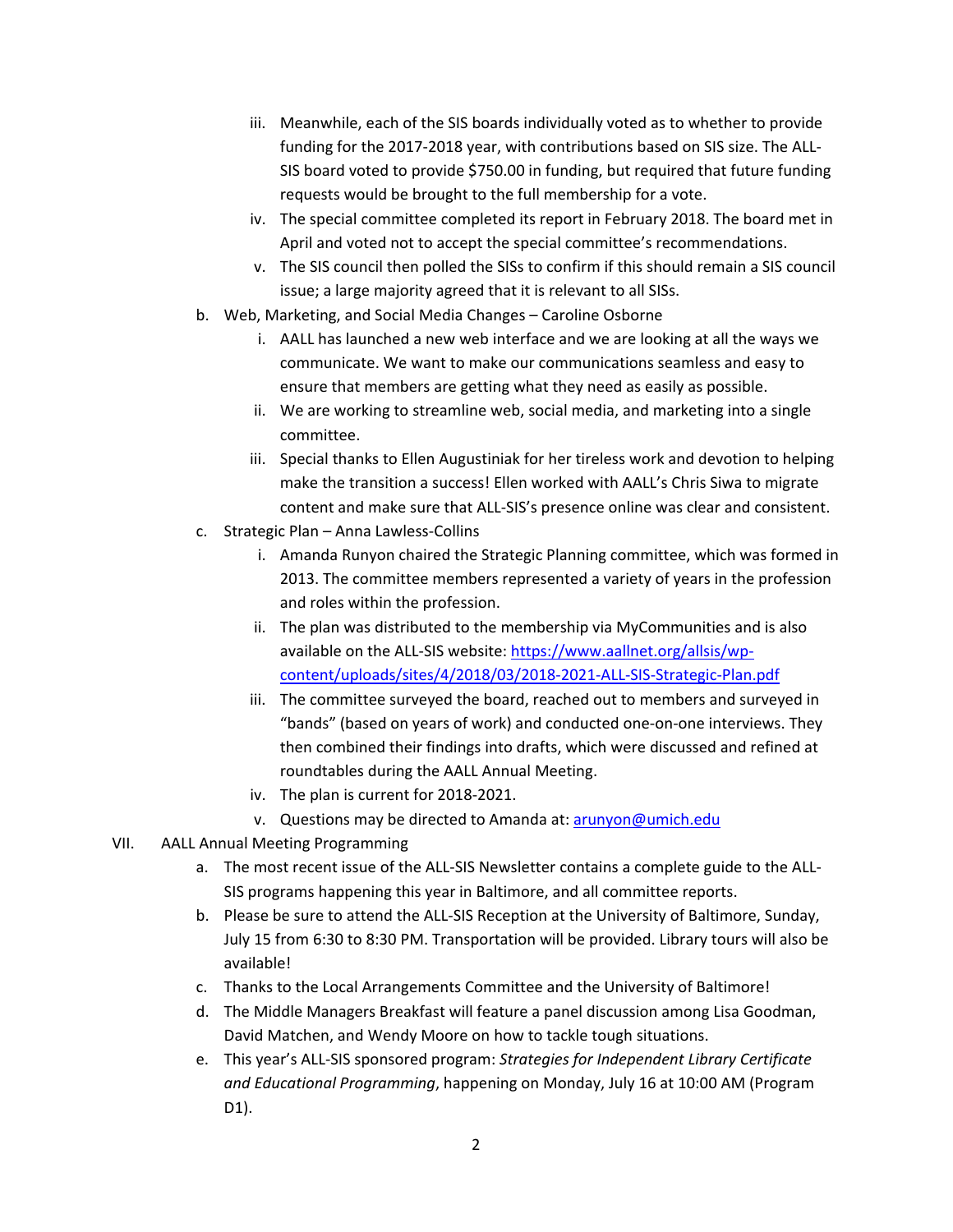- iii. Meanwhile, each of the SIS boards individually voted as to whether to provide funding for the 2017-2018 year, with contributions based on SIS size. The ALL-SIS board voted to provide \$750.00 in funding, but required that future funding requests would be brought to the full membership for a vote.
- iv. The special committee completed its report in February 2018. The board met in April and voted not to accept the special committee's recommendations.
- v. The SIS council then polled the SISs to confirm if this should remain a SIS council issue; a large majority agreed that it is relevant to all SISs.
- b. Web, Marketing, and Social Media Changes Caroline Osborne
	- i. AALL has launched a new web interface and we are looking at all the ways we communicate. We want to make our communications seamless and easy to ensure that members are getting what they need as easily as possible.
	- ii. We are working to streamline web, social media, and marketing into a single committee.
	- iii. Special thanks to Ellen Augustiniak for her tireless work and devotion to helping make the transition a success! Ellen worked with AALL's Chris Siwa to migrate content and make sure that ALL-SIS's presence online was clear and consistent.
- c. Strategic Plan Anna Lawless-Collins
	- i. Amanda Runyon chaired the Strategic Planning committee, which was formed in 2013. The committee members represented a variety of years in the profession and roles within the profession.
	- ii. The plan was distributed to the membership via MyCommunities and is also available on the ALL-SIS website: [https://www.aallnet.org/allsis/wp](https://www.aallnet.org/allsis/wp-content/uploads/sites/4/2018/03/2018-2021-ALL-SIS-Strategic-Plan.pdf)[content/uploads/sites/4/2018/03/2018-2021-ALL-SIS-Strategic-Plan.pdf](https://www.aallnet.org/allsis/wp-content/uploads/sites/4/2018/03/2018-2021-ALL-SIS-Strategic-Plan.pdf)
	- iii. The committee surveyed the board, reached out to members and surveyed in "bands" (based on years of work) and conducted one-on-one interviews. They then combined their findings into drafts, which were discussed and refined at roundtables during the AALL Annual Meeting.
	- iv. The plan is current for 2018-2021.
	- v. Questions may be directed to Amanda at[: arunyon@umich.edu](mailto:arunyon@umich.edu)
- VII. AALL Annual Meeting Programming
	- a. The most recent issue of the ALL-SIS Newsletter contains a complete guide to the ALL-SIS programs happening this year in Baltimore, and all committee reports.
	- b. Please be sure to attend the ALL-SIS Reception at the University of Baltimore, Sunday, July 15 from 6:30 to 8:30 PM. Transportation will be provided. Library tours will also be available!
	- c. Thanks to the Local Arrangements Committee and the University of Baltimore!
	- d. The Middle Managers Breakfast will feature a panel discussion among Lisa Goodman, David Matchen, and Wendy Moore on how to tackle tough situations.
	- e. This year's ALL-SIS sponsored program: *Strategies for Independent Library Certificate and Educational Programming*, happening on Monday, July 16 at 10:00 AM (Program D1).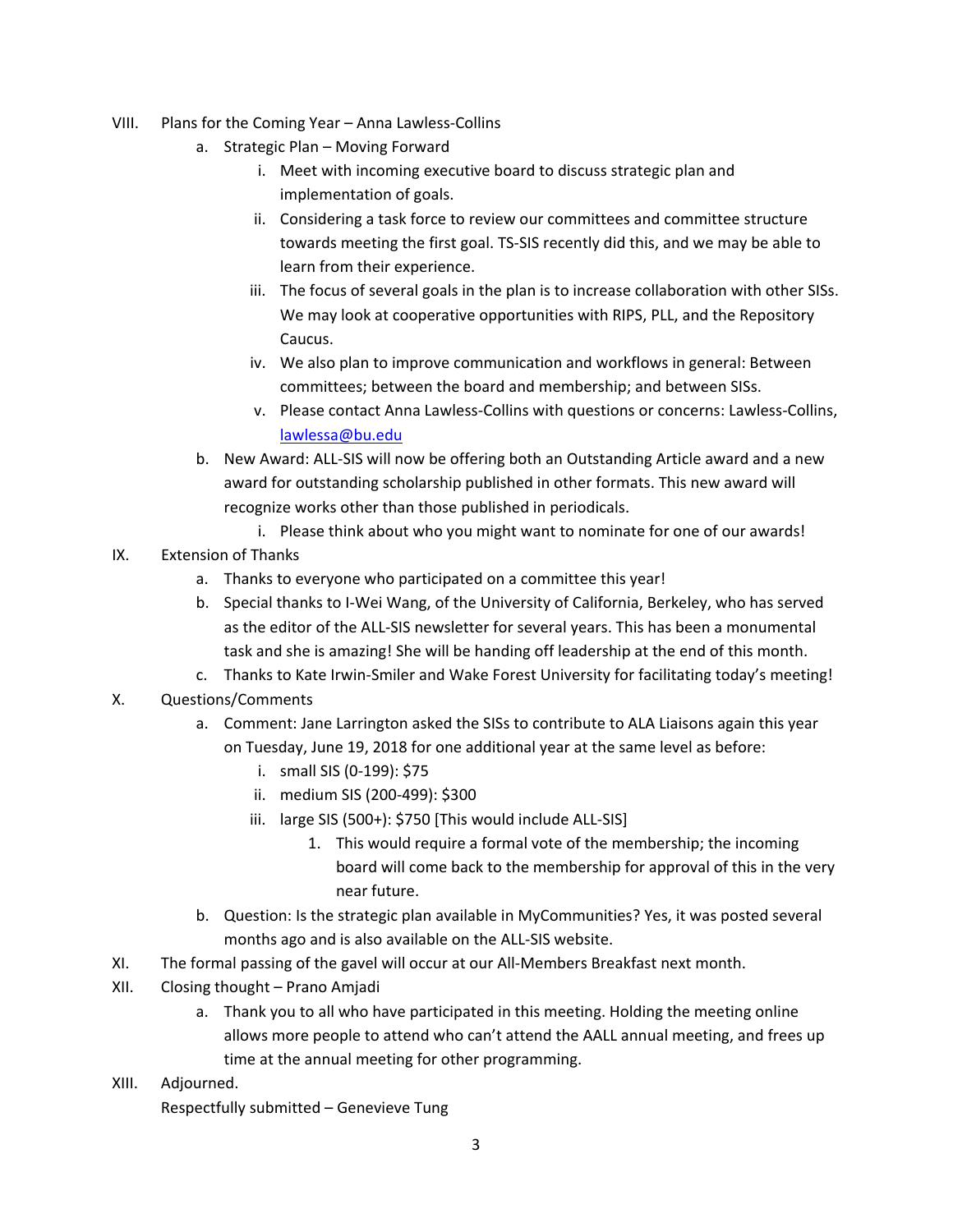- VIII. Plans for the Coming Year Anna Lawless-Collins
	- a. Strategic Plan Moving Forward
		- i. Meet with incoming executive board to discuss strategic plan and implementation of goals.
		- ii. Considering a task force to review our committees and committee structure towards meeting the first goal. TS-SIS recently did this, and we may be able to learn from their experience.
		- iii. The focus of several goals in the plan is to increase collaboration with other SISs. We may look at cooperative opportunities with RIPS, PLL, and the Repository Caucus.
		- iv. We also plan to improve communication and workflows in general: Between committees; between the board and membership; and between SISs.
		- v. Please contact Anna Lawless-Collins with questions or concerns: Lawless-Collins, [lawlessa@bu.edu](mailto:lawlessa@bu.edu)
	- b. New Award: ALL-SIS will now be offering both an Outstanding Article award and a new award for outstanding scholarship published in other formats. This new award will recognize works other than those published in periodicals.
		- i. Please think about who you might want to nominate for one of our awards!
- IX. Extension of Thanks
	- a. Thanks to everyone who participated on a committee this year!
	- b. Special thanks to I-Wei Wang, of the University of California, Berkeley, who has served as the editor of the ALL-SIS newsletter for several years. This has been a monumental task and she is amazing! She will be handing off leadership at the end of this month.
	- c. Thanks to Kate Irwin-Smiler and Wake Forest University for facilitating today's meeting!
- X. Questions/Comments
	- a. Comment: Jane Larrington asked the SISs to contribute to ALA Liaisons again this year on Tuesday, June 19, 2018 for one additional year at the same level as before:
		- i. small SIS (0-199): \$75
		- ii. medium SIS (200-499): \$300
		- iii. large SIS (500+): \$750 [This would include ALL-SIS]
			- 1. This would require a formal vote of the membership; the incoming board will come back to the membership for approval of this in the very near future.
	- b. Question: Is the strategic plan available in MyCommunities? Yes, it was posted several months ago and is also available on the ALL-SIS website.
- XI. The formal passing of the gavel will occur at our All-Members Breakfast next month.
- XII. Closing thought Prano Amjadi
	- a. Thank you to all who have participated in this meeting. Holding the meeting online allows more people to attend who can't attend the AALL annual meeting, and frees up time at the annual meeting for other programming.
- XIII. Adjourned.

Respectfully submitted – Genevieve Tung